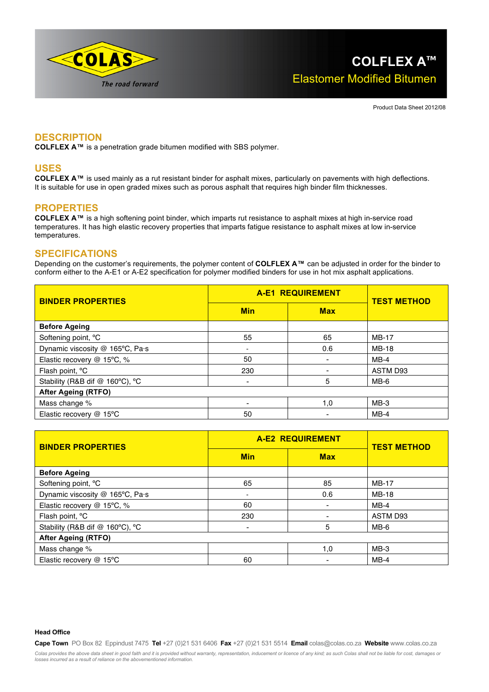

Product Data Sheet 2012/08

# **DESCRIPTION**

**COLFLEX A™** is a penetration grade bitumen modified with SBS polymer.

### **USES**

COLFLEX A<sup>™</sup> is used mainly as a rut resistant binder for asphalt mixes, particularly on pavements with high deflections. It is suitable for use in open graded mixes such as porous asphalt that requires high binder film thicknesses.

## **PROPERTIES**

**COLFLEX A™** is a high softening point binder, which imparts rut resistance to asphalt mixes at high in-service road temperatures. It has high elastic recovery properties that imparts fatigue resistance to asphalt mixes at low in-service temperatures.

### **SPECIFICATIONS**

Depending on the customer's requirements, the polymer content of **COLFLEX A™** can be adjusted in order for the binder to conform either to the A-E1 or A-E2 specification for polymer modified binders for use in hot mix asphalt applications.

| <b>BINDER PROPERTIES</b>        | <b>A-E1 REQUIREMENT</b> |            | <b>TEST METHOD</b> |
|---------------------------------|-------------------------|------------|--------------------|
|                                 | <b>Min</b>              | <b>Max</b> |                    |
| <b>Before Ageing</b>            |                         |            |                    |
| Softening point, °C             | 55                      | 65         | <b>MB-17</b>       |
| Dynamic viscosity @ 165°C, Pa·s | $\blacksquare$          | 0.6        | <b>MB-18</b>       |
| Elastic recovery @ 15°C, %      | 50                      | -          | $MB-4$             |
| Flash point, <sup>o</sup> C     | 230                     |            | ASTM D93           |
| Stability (R&B dif @ 160°C), °C | ۰                       | 5          | $MB-6$             |
| <b>After Ageing (RTFO)</b>      |                         |            |                    |
| Mass change %                   | ۰                       | 1,0        | $MB-3$             |
| Elastic recovery @ 15°C         | 50                      |            | $MB-4$             |

| <b>BINDER PROPERTIES</b>        | <b>A-E2 REQUIREMENT</b>  |            | <b>TEST METHOD</b> |  |  |
|---------------------------------|--------------------------|------------|--------------------|--|--|
|                                 | <b>Min</b>               | <b>Max</b> |                    |  |  |
| <b>Before Ageing</b>            |                          |            |                    |  |  |
| Softening point, °C             | 65                       | 85         | <b>MB-17</b>       |  |  |
| Dynamic viscosity @ 165°C, Pa·s | $\overline{\phantom{a}}$ | 0.6        | <b>MB-18</b>       |  |  |
| Elastic recovery @ 15°C, %      | 60                       |            | $MB-4$             |  |  |
| Flash point, <sup>o</sup> C     | 230                      |            | ASTM D93           |  |  |
| Stability (R&B dif @ 160°C), °C | ۰                        | 5          | MB-6               |  |  |
| <b>After Ageing (RTFO)</b>      |                          |            |                    |  |  |
| Mass change %                   |                          | 1,0        | $MB-3$             |  |  |
| Elastic recovery @ 15°C         | 60                       |            | $MB-4$             |  |  |

#### **Head Office**